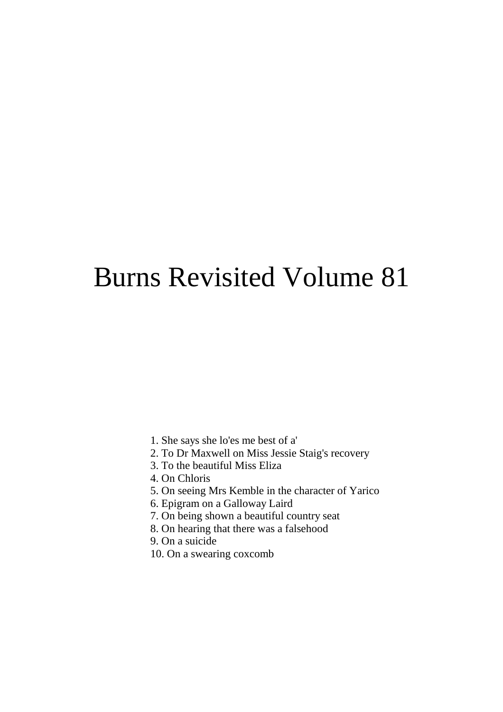# Burns Revisited Volume 81

- 1. She says she lo'es me best of a'
- 2. To Dr Maxwell on Miss Jessie Staig's recovery
- 3. To the beautiful Miss Eliza
- 4. On Chloris
- 5. On seeing Mrs Kemble in the character of Yarico
- 6. Epigram on a Galloway Laird
- 7. On being shown a beautiful country seat
- 8. On hearing that there was a falsehood
- 9. On a suicide
- 10. On a swearing coxcomb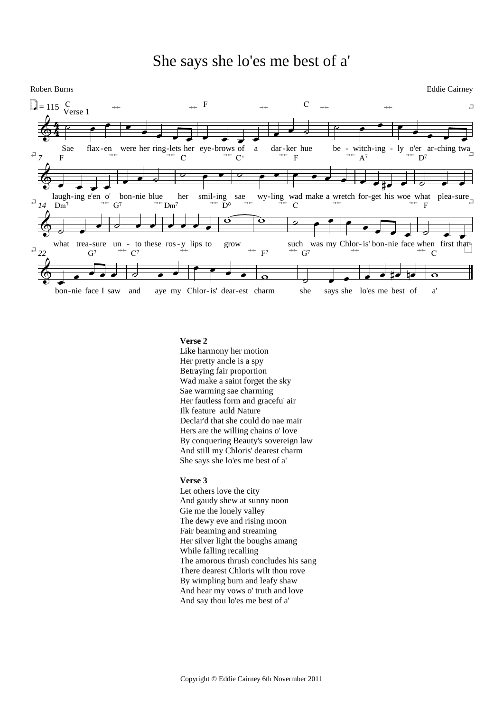#### She says she lo'es me best of a'



#### **Verse 2**

Like harmony her motion Her pretty ancle is a spy Betraying fair proportion Wad make a saint forget the sky Sae warming sae charming Her fautless form and gracefu' air Ilk feature auld Nature Declar'd that she could do nae mair Hers are the willing chains o' love By conquering Beauty's sovereign law And still my Chloris' dearest charm She says she lo'es me best of a'

#### **Verse 3**

Let others love the city And gaudy shew at sunny noon Gie me the lonely valley The dewy eve and rising moon Fair beaming and streaming Her silver light the boughs amang While falling recalling The amorous thrush concludes his sang There dearest Chloris wilt thou rove By wimpling burn and leafy shaw And hear my vows o' truth and love And say thou lo'es me best of a'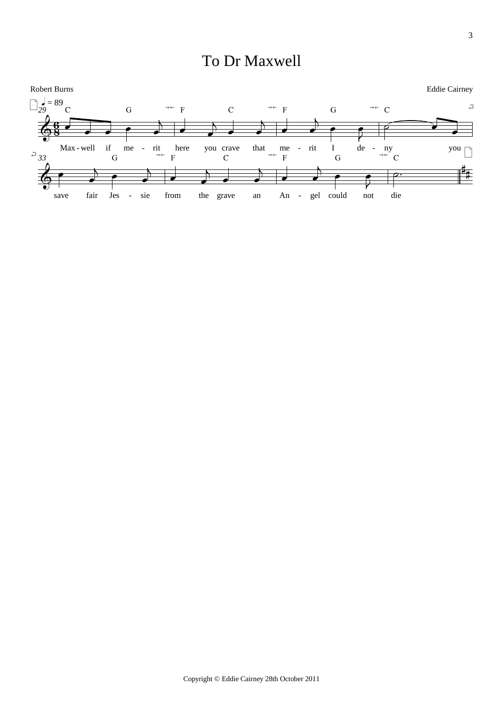### To Dr Maxwell

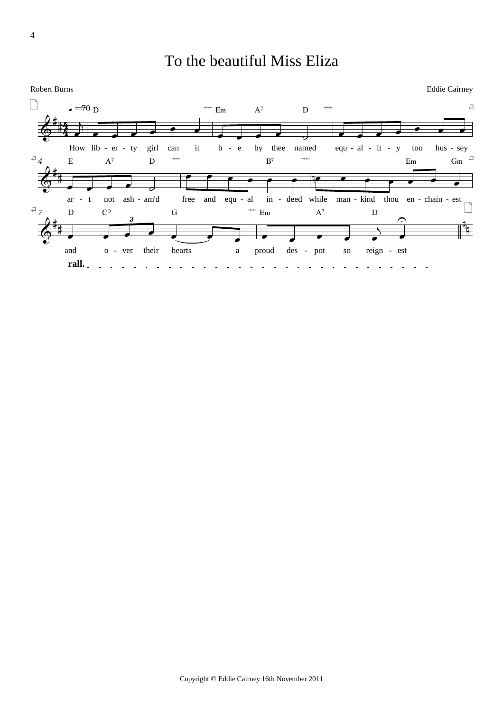### To the beautiful Miss Eliza

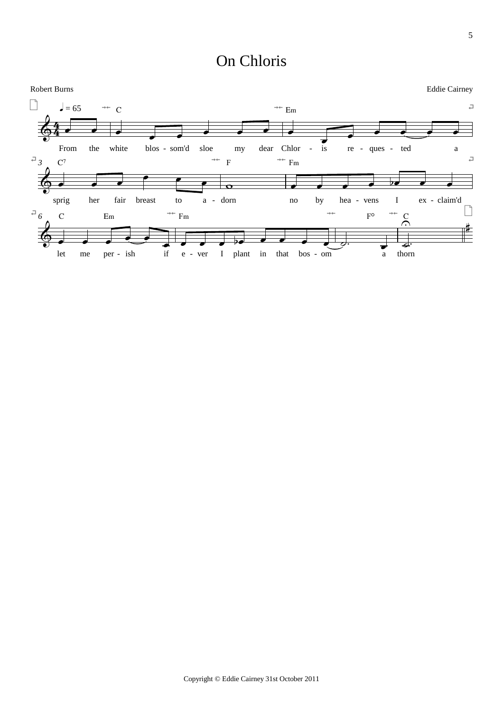#### On Chloris

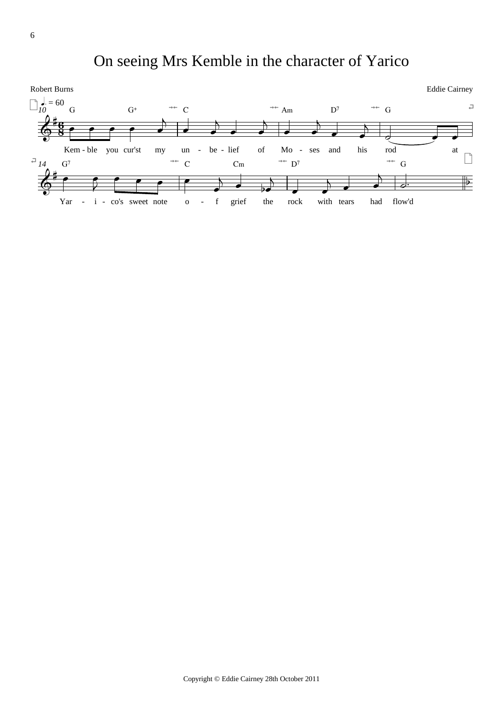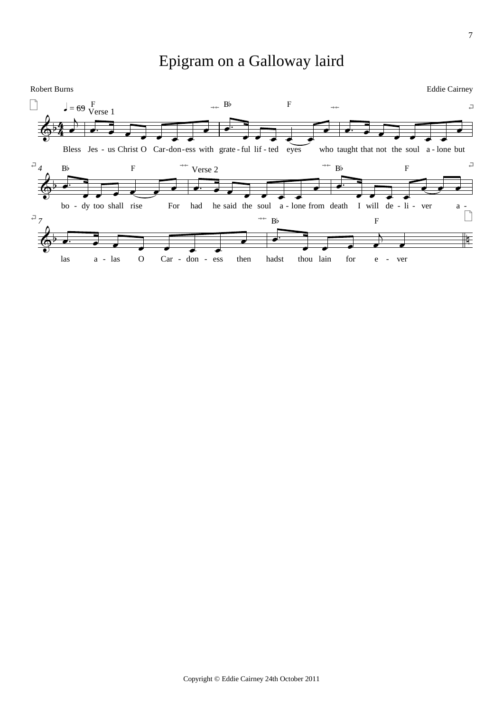#### Epigram on a Galloway laird

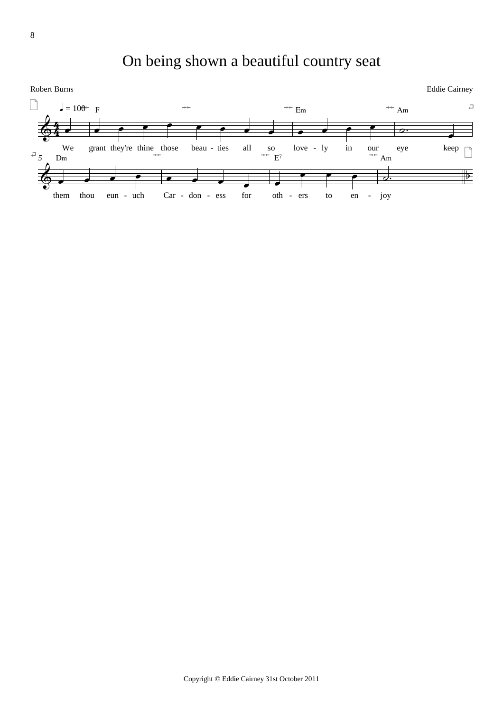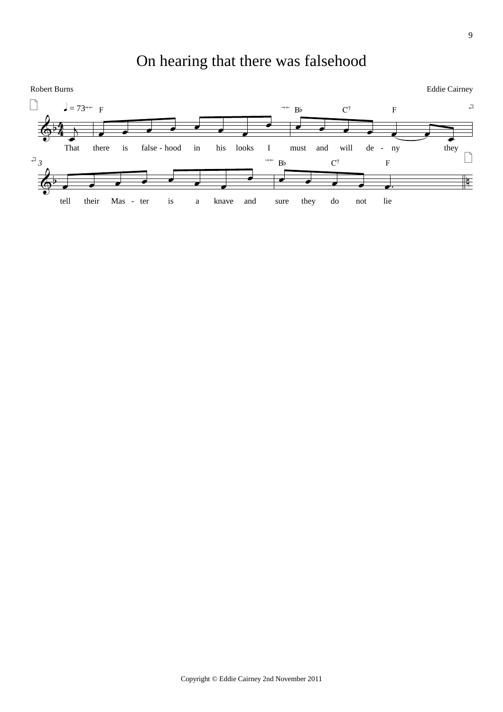## On hearing that there was falsehood

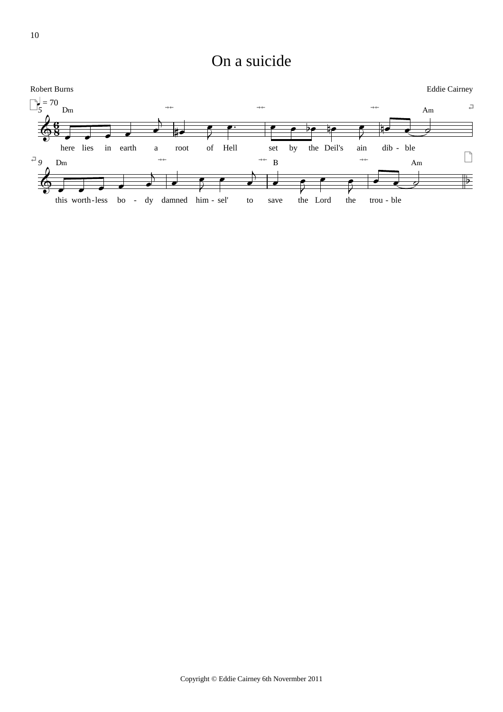On a suicide